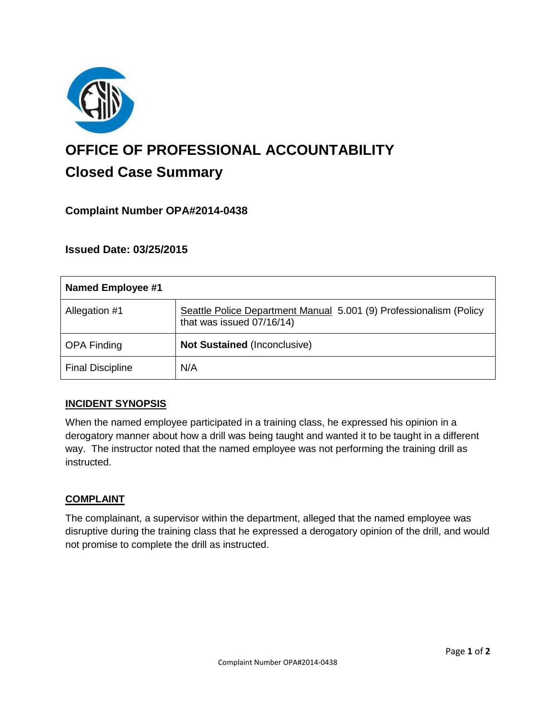

# **OFFICE OF PROFESSIONAL ACCOUNTABILITY Closed Case Summary**

## **Complaint Number OPA#2014-0438**

## **Issued Date: 03/25/2015**

| <b>Named Employee #1</b> |                                                                                                 |
|--------------------------|-------------------------------------------------------------------------------------------------|
| Allegation #1            | Seattle Police Department Manual 5.001 (9) Professionalism (Policy<br>that was issued 07/16/14) |
| <b>OPA Finding</b>       | <b>Not Sustained (Inconclusive)</b>                                                             |
| <b>Final Discipline</b>  | N/A                                                                                             |

#### **INCIDENT SYNOPSIS**

When the named employee participated in a training class, he expressed his opinion in a derogatory manner about how a drill was being taught and wanted it to be taught in a different way. The instructor noted that the named employee was not performing the training drill as instructed.

#### **COMPLAINT**

The complainant, a supervisor within the department, alleged that the named employee was disruptive during the training class that he expressed a derogatory opinion of the drill, and would not promise to complete the drill as instructed.